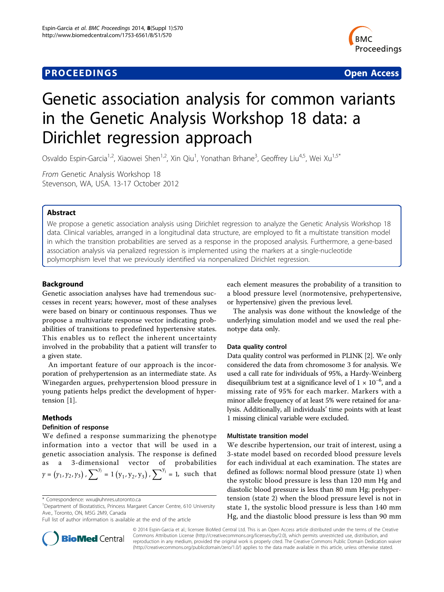# **PROCEEDINGS STATE ACCESS CONSUMING SECTION CONSUMING SECTION CONSUMING SECTION CONSUMING SECTION CONSUMING SECTION CONSUMING SECTION CONSUMING SECTION CONSUMING SECTION CONSUMING SECTION CONSUMING SECTION CONSUMING SE**



# Genetic association analysis for common variants in the Genetic Analysis Workshop 18 data: a Dirichlet regression approach

Osvaldo Espin-Garcia<sup>1,2</sup>, Xiaowei Shen<sup>1,2</sup>, Xin Qiu<sup>1</sup>, Yonathan Brhane<sup>3</sup>, Geoffrey Liu<sup>4,5</sup>, Wei Xu<sup>1,5\*</sup>

From Genetic Analysis Workshop 18 Stevenson, WA, USA. 13-17 October 2012

# Abstract

We propose a genetic association analysis using Dirichlet regression to analyze the Genetic Analysis Workshop 18 data. Clinical variables, arranged in a longitudinal data structure, are employed to fit a multistate transition model in which the transition probabilities are served as a response in the proposed analysis. Furthermore, a gene-based association analysis via penalized regression is implemented using the markers at a single-nucleotide polymorphism level that we previously identified via nonpenalized Dirichlet regression.

# Background

Genetic association analyses have had tremendous successes in recent years; however, most of these analyses were based on binary or continuous responses. Thus we propose a multivariate response vector indicating probabilities of transitions to predefined hypertensive states. This enables us to reflect the inherent uncertainty involved in the probability that a patient will transfer to a given state.

An important feature of our approach is the incorporation of prehypertension as an intermediate state. As Winegarden argues, prehypertension blood pressure in young patients helps predict the development of hypertension [[1\]](#page-4-0).

# Methods

### Definition of response

We defined a response summarizing the phenotype information into a vector that will be used in a genetic association analysis. The response is defined as a 3-dimensional vector of probabilities  $\gamma = (\gamma_1, \gamma_2, \gamma_3)$ ,  $\sum^{\gamma_j} = 1$   $(y_1, y_2, y_3)$ ,  $\sum^{\gamma_j} = 1$ , such that



The analysis was done without the knowledge of the underlying simulation model and we used the real phenotype data only.

#### Data quality control

Data quality control was performed in PLINK [\[2](#page-4-0)]. We only considered the data from chromosome 3 for analysis. We used a call rate for individuals of 95%, a Hardy-Weinberg disequilibrium test at a significance level of  $1 \times 10^{-6}$ , and a missing rate of 95% for each marker. Markers with a minor allele frequency of at least 5% were retained for analysis. Additionally, all individuals' time points with at least 1 missing clinical variable were excluded.

#### Multistate transition model

We describe hypertension, our trait of interest, using a 3-state model based on recorded blood pressure levels for each individual at each examination. The states are defined as follows: normal blood pressure (state 1) when the systolic blood pressure is less than 120 mm Hg and diastolic blood pressure is less than 80 mm Hg; prehypertension (state 2) when the blood pressure level is not in state 1, the systolic blood pressure is less than 140 mm Hg, and the diastolic blood pressure is less than 90 mm



© 2014 Espin-Garcia et al.; licensee BioMed Central Ltd. This is an Open Access article distributed under the terms of the Creative Commons Attribution License [\(http://creativecommons.org/licenses/by/2.0](http://creativecommons.org/licenses/by/2.0)), which permits unrestricted use, distribution, and reproduction in any medium, provided the original work is properly cited. The Creative Commons Public Domain Dedication waiver [\(http://creativecommons.org/publicdomain/zero/1.0/](http://creativecommons.org/publicdomain/zero/1.0/)) applies to the data made available in this article, unless otherwise stated.

<sup>\*</sup> Correspondence: [wxu@uhnres.utoronto.ca](mailto:wxu@uhnres.utoronto.ca)

<sup>&</sup>lt;sup>1</sup>Department of Biostatistics, Princess Margaret Cancer Centre, 610 University Ave., Toronto, ON, M5G 2M9, Canada

Full list of author information is available at the end of the article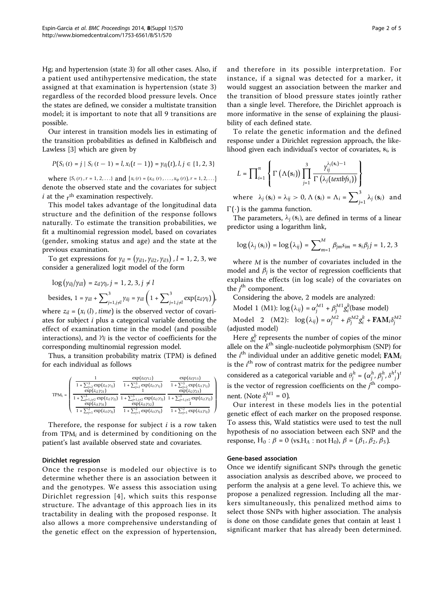Hg; and hypertension (state 3) for all other cases. Also, if a patient used antihypertensive medication, the state assigned at that examination is hypertension (state 3) regardless of the recorded blood pressure levels. Once the states are defined, we consider a multistate transition model; it is important to note that all 9 transitions are possible.

Our interest in transition models lies in estimating of the transition probabilities as defined in Kalbfleisch and Lawless [\[3](#page-4-0)] which are given by

$$
P(S_i(t) = j \mid S_i(t-1) = l, x_i(t-1)) = \gamma_{i l j}(t), l, j \in \{1, 2, 3\}
$$

where  $\{S_i(r), r = 1, 2, ...\}$  and  $\{x_i(r) = (x_{i1}(r), \ldots, x_{ip}(r)), r = 1, 2, \ldots\}$ denote the observed state and the covariates for subject  $i$  at the  $r<sup>th</sup>$  examination respectively.

This model takes advantage of the longitudinal data structure and the definition of the response follows naturally. To estimate the transition probabilities, we fit a multinomial regression model, based on covariates (gender, smoking status and age) and the state at the previous examination.

To get expressions for  $\gamma_{il} = (\gamma_{il1}, \gamma_{il2}, \gamma_{il3})$  ,  $l = 1, 2, 3$ , we consider a generalized logit model of the form

$$
\log (y_{iij}/y_{ill}) = z_{i1}y_{ij}, j = 1, 2, 3, j \neq l
$$
  
besides,  $1 = y_{ill} + \sum_{j=1, j \neq l}^{3} y_{ilj} = y_{ill} \left(1 + \sum_{j=1, j \neq l}^{3} \exp(z_{i1}y_{j})\right),$ 

where  $z_{il} = (x_i(l), time)$  is the observed vector of covariates for subject i plus a categorical variable denoting the effect of examination time in the model (and possible interactions), and γ*lj* is the vector of coefficients for the corresponding multinomial regression model.

Thus, a transition probability matrix (TPM) is defined for each individual as follows

|           |                                              | $\exp(z_{il}\gamma_{12})$                    | $\exp(z_{il}\gamma_{13})$                                                                                                                                                                         |
|-----------|----------------------------------------------|----------------------------------------------|---------------------------------------------------------------------------------------------------------------------------------------------------------------------------------------------------|
|           | $1 + \sum_{j=2}^{3} \exp(z_{i1}\gamma_{1j})$ | $1 + \sum_{i=2}^{3} \exp(z_{i1}\gamma_{1i})$ | $1 + \sum_{j=2}^{3} \exp(z_{i1}\gamma_{1j})$                                                                                                                                                      |
|           | $\exp(z_{i2}\gamma_{21})$                    |                                              | $\exp(z_{i2}\gamma_{23})$                                                                                                                                                                         |
| $TPM_i =$ |                                              |                                              | $1 + \sum_{j=1, j \neq 2}^{3} \exp(z_{i2} \gamma_{2j}) \left[ 1 + \sum_{j=1, j \neq 2}^{3} \exp(z_{i2} \gamma_{2j}) \right] \left[ 1 + \sum_{j=1, j \neq 2}^{3} \exp(z_{i2} \gamma_{2j}) \right]$ |
|           | $\exp(z_{i3}\gamma_{31})$                    | $\exp(z_{i3}\gamma_{32})$                    |                                                                                                                                                                                                   |
|           | $1 + \sum_{i=1}^{2} \exp(z_{i3}\gamma_{3i})$ | $1 + \sum_{i=1}^{2} \exp(z_{i3}\gamma_{3i})$ | $1 + \sum_{j=1}^{2} \exp(z_{i3}\gamma_{3j})$                                                                                                                                                      |

Therefore, the response for subject  $i$  is a row taken from TPM*<sup>i</sup>* and is determined by conditioning on the patient's last available observed state and covariates.

#### Dirichlet regression

Once the response is modeled our objective is to determine whether there is an association between it and the genotypes. We assess this association using Dirichlet regression [[4](#page-4-0)], which suits this response structure. The advantage of this approach lies in its tractability in dealing with the proposed response. It also allows a more comprehensive understanding of the genetic effect on the expression of hypertension, and therefore in its possible interpretation. For instance, if a signal was detected for a marker, it would suggest an association between the marker and the transition of blood pressure states jointly rather than a single level. Therefore, the Dirichlet approach is more informative in the sense of explaining the plausibility of each defined state.

To relate the genetic information and the defined response under a Dirichlet regression approach, the likelihood given each individual's vector of covariates, **s***i*, is

$$
L = \prod_{i=1}^{n} \left\{ \Gamma\left(\Lambda(s_i)\right) \prod_{j=1}^{3} \frac{\gamma_{ij}^{\lambda_j(s_i)-1}}{\Gamma\left(\lambda_j\left(\text{textb/s}_i\right)\right)} \right\}
$$
  
where  $\lambda_j(s_i) = \lambda_{ij} > 0$ ,  $\Lambda(s_i) = \Lambda_i = \sum_{i=1}^{3} \lambda_j(s_i)$  and

 $j=1$   $\sim$   $j$  $\Gamma(\cdot)$  is the gamma function.

The parameters,  $\lambda_i$  ( $s_i$ ), are defined in terms of a linear predictor using a logarithm link,

$$
\log\left(\lambda_{j}\left(\mathbf{s}_{i}\right)\right)=\log\left(\lambda_{ij}\right)=\sum\nolimits_{m=1}^{M}\beta_{jm}s_{im}=\mathbf{s}_{i}\beta_{j}j=1,2,3
$$

where *M* is the number of covariates included in the model and  $\beta_j$  is the vector of regression coefficients that explains the effects (in log scale) of the covariates on the  $j^{\text{th}}$  component.

Considering the above, 2 models are analyzed:

Model 1 (M1):  $\log(\lambda_{ij}) = \alpha_j^{M1} + \beta_j^{M1} g_i^k$ (base model)

Model 2  $(M2)$ :  $\log(\lambda_{ij}) = \alpha_j^{M2} + \beta_j^{M2} g_i^k + \textbf{FAM}_i \delta_j^{M2}$ (adjusted model)

Here  $g_i^k$  represents the number of copies of the minor allele on the  $k^{\text{th}}$  single-nucleotide polymorphism (SNP) for the *i*<sup>th</sup> individual under an additive genetic model; FAM<sub>*i*</sub> is the  $i<sup>th</sup>$  row of contrast matrix for the pedigree number considered as a categorical variable and  $\theta_j^h = (\alpha_j^h, \beta_j^h, \delta^h{}_j^t)$ <sup>*t*</sup> is the vector of regression coefficients on the  $j<sup>th</sup>$  component. (Note  $\delta_j^{M1} = 0$ ).

Our interest in these models lies in the potential genetic effect of each marker on the proposed response. To assess this, Wald statistics were used to test the null hypothesis of no association between each SNP and the response, H<sub>0</sub> : β = 0 (vs.H<sub>A</sub> : not H<sub>0</sub>), β = ( $β_1$ ,  $β_2$ ,  $β_3$ ).

## Gene-based association

Once we identify significant SNPs through the genetic association analysis as described above, we proceed to perform the analysis at a gene level. To achieve this, we propose a penalized regression. Including all the markers simultaneously, this penalized method aims to select those SNPs with higher association. The analysis is done on those candidate genes that contain at least 1 significant marker that has already been determined.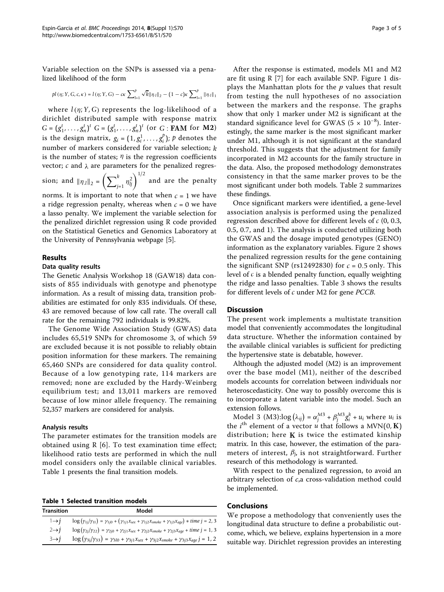Variable selection on the SNPs is assessed via a penalized likelihood of the form

$$
pl(\eta; Y, G, c, \kappa) = l(\eta; Y, G) - c\kappa \sum_{l=1}^{p} \sqrt{k} ||\eta_{\cdot l}||_{2} - (1 - c)\kappa \sum_{l=1}^{p} ||\eta_{\cdot l}||_{1}
$$

where  $l(\eta; Y, G)$  represents the log-likelihood of a dirichlet distributed sample with response matrix  $G = (g_1^t, \ldots, g_n^t)^t$   $G = (g_1^t, \ldots, g_n^t)^t$  (or  $G : \textbf{FAM}$  for **M2**) is the design matrix,  $g_i = (1, g_i^1, \dots, g_i^p)$ ;  $p$  denotes the number of markers considered for variable selection; *k* is the number of states;  $\eta$  is the regression coefficients vector;  $c$  and  $\lambda$  are parameters for the penalized regres-

sion; and  $\|\eta_{.l}\|_2 = \left(\sum_{j=1}^k \eta_{lj}^2\right)^{1/2}$  and are the penalty

norms. It is important to note that when  $c = 1$  we have a ridge regression penalty, whereas when  $c = 0$  we have a lasso penalty. We implement the variable selection for the penalized dirichlet regression using R code provided on the Statistical Genetics and Genomics Laboratory at the University of Pennsylvania webpage [[5](#page-4-0)].

### Results

#### Data quality results

The Genetic Analysis Workshop 18 (GAW18) data consists of 855 individuals with genotype and phenotype information. As a result of missing data, transition probabilities are estimated for only 835 individuals. Of these, 43 are removed because of low call rate. The overall call rate for the remaining 792 individuals is 99.82%.

The Genome Wide Association Study (GWAS) data includes 65,519 SNPs for chromosome 3, of which 59 are excluded because it is not possible to reliably obtain position information for these markers. The remaining 65,460 SNPs are considered for data quality control. Because of a low genotyping rate, 114 markers are removed; none are excluded by the Hardy-Weinberg equilibrium test; and 13,011 markers are removed because of low minor allele frequency. The remaining 52,357 markers are considered for analysis.

#### Analysis results

The parameter estimates for the transition models are obtained using R [[6](#page-4-0)]. To test examination time effect; likelihood ratio tests are performed in which the null model considers only the available clinical variables. Table 1 presents the final transition models.

Table 1 Selected transition models

| <b>Transition</b> | Model                                                                                                                                            |
|-------------------|--------------------------------------------------------------------------------------------------------------------------------------------------|
| $1\rightarrow 1$  | $\log(y_{1j}/y_{11}) = \gamma_{1j0} + (\gamma_{1j1}x_{sex} + \gamma_{1j2}x_{smoke} + \gamma_{1j3}x_{age}) * time j = 2,3$                        |
| $2 \rightarrow i$ | $\log\big(y_{2j}/\gamma_{22}\big)=\gamma_{2j0}+\gamma_{2j1}x_{sex}+\gamma_{2j2}x_{smoke}+\gamma_{2j3}x_{age}+time\ j=1,3$                        |
| $3\rightarrow i$  | $\log \left( \gamma_{3j} / \gamma_{33} \right) = \gamma_{3l0} + \gamma_{3j1} x_{sex} + \gamma_{3j2} x_{smoke} + \gamma_{3j3} x_{age} \, j = 1,2$ |

After the response is estimated, models M1 and M2 are fit using R [[7\]](#page-4-0) for each available SNP. Figure [1](#page-3-0) displays the Manhattan plots for the  $p$  values that result from testing the null hypotheses of no association between the markers and the response. The graphs show that only 1 marker under M2 is significant at the standard significance level for GWAS ( $5 \times 10^{-8}$ ). Interestingly, the same marker is the most significant marker under M1, although it is not significant at the standard threshold. This suggests that the adjustment for family incorporated in M2 accounts for the family structure in the data. Also, the proposed methodology demonstrates consistency in that the same marker proves to be the most significant under both models. Table [2](#page-3-0) summarizes these findings.

Once significant markers were identified, a gene-level association analysis is performed using the penalized regression described above for different levels of *c* (0, 0.3, 0.5, 0.7, and 1). The analysis is conducted utilizing both the GWAS and the dosage imputed genotypes (GENO) information as the explanatory variables. Figure [2](#page-3-0) shows the penalized regression results for the gene containing the significant SNP (rs12492830) for  $c = 0.5$  only. This level of *c* is a blended penalty function, equally weighting the ridge and lasso penalties. Table [3](#page-3-0) shows the results for different levels of *c* under M2 for gene PCCB.

### Discussion

The present work implements a multistate transition model that conveniently accommodates the longitudinal data structure. Whether the information contained by the available clinical variables is sufficient for predicting the hypertensive state is debatable, however.

Although the adjusted model (M2) is an improvement over the base model (M1), neither of the described models accounts for correlation between individuals nor heteroscedasticity. One way to possibly overcome this is to incorporate a latent variable into the model. Such an extension follows.

Model 3 (M3): $\log(\lambda_{ij}) = \alpha_j^{M3} + \beta_j^{M3} g_i^k + u_i$  where  $u_i$  is the  $i^{\text{th}}$  element of a vector  $u$  that follows a MVN(0, **K)** distribution; here  $K$  is twice the estimated kinship matrix. In this case, however, the estimation of the parameters of interest, β*j*, is not straightforward. Further research of this methodology is warranted.

With respect to the penalized regression, to avoid an arbitrary selection of c,a cross-validation method could be implemented.

#### Conclusions

We propose a methodology that conveniently uses the longitudinal data structure to define a probabilistic outcome, which, we believe, explains hypertension in a more suitable way. Dirichlet regression provides an interesting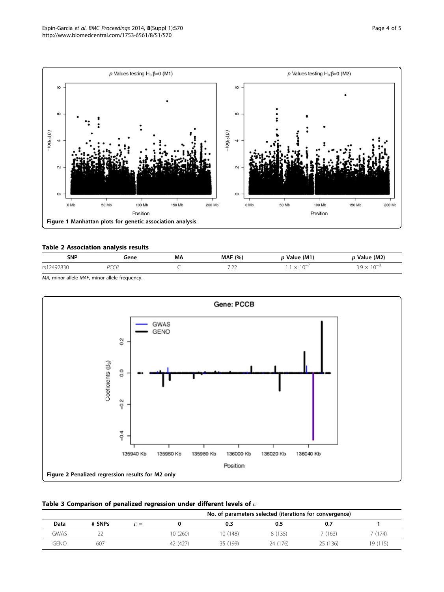<span id="page-3-0"></span>

# Table 2 Association analysis results

| <b>SNP</b>                                      | Gene | MΑ | <b>MAF</b> (%)                                      | Value (M1) | Value (M2) |
|-------------------------------------------------|------|----|-----------------------------------------------------|------------|------------|
| $\cdots$<br>r <sub>c</sub><br>749.<br>283U<br>. | .    |    | $ -$<br>$-1$<br>the contract of the contract of the | $\sim$     | $10-6$     |

MA, minor allele MAF, minor allele frequency.



| Table 3 Comparison of penalized regression under different levels of $c$ |  |  |  |  |  |
|--------------------------------------------------------------------------|--|--|--|--|--|
|--------------------------------------------------------------------------|--|--|--|--|--|

|             |        |     | No. of parameters selected (iterations for convergence) |          |          |          |          |
|-------------|--------|-----|---------------------------------------------------------|----------|----------|----------|----------|
| Data        | # SNPs | C = |                                                         | 0.3      | 0.5      | 0.7      |          |
| GWAS        |        |     | 10 (260)                                                | 10 (148) | 8 (135)  | 7 (163)  | (174)    |
| <b>GENO</b> | 607    |     | 42 (427)                                                | 35 (199) | 24 (176) | 25 (136) | 19 (115) |